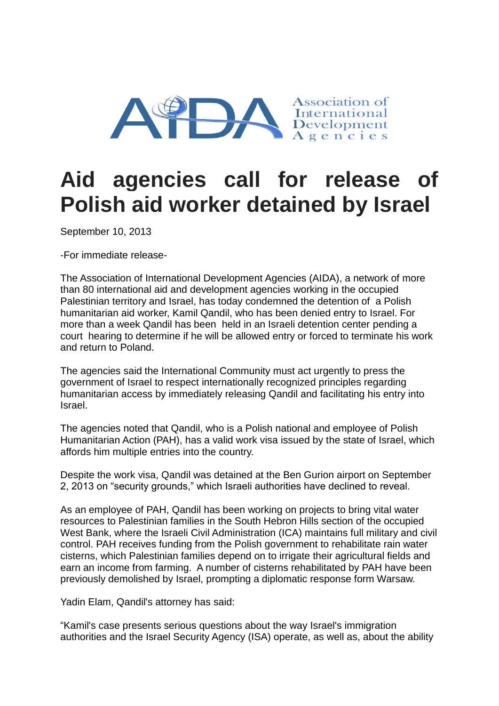

## **Aid agencies call for release of Polish aid worker detained by Israel**

September 10, 2013

-For immediate release-

The Association of International Development Agencies (AIDA), a network of more than 80 international aid and development agencies working in the occupied Palestinian territory and Israel, has today condemned the detention of a Polish humanitarian aid worker, Kamil Qandil, who has been denied entry to Israel. For more than a week Qandil has been held in an Israeli detention center pending a court hearing to determine if he will be allowed entry or forced to terminate his work and return to Poland.

The agencies said the International Community must act urgently to press the government of Israel to respect internationally recognized principles regarding humanitarian access by immediately releasing Qandil and facilitating his entry into Israel.

The agencies noted that Qandil, who is a Polish national and employee of Polish Humanitarian Action (PAH), has a valid work visa issued by the state of Israel, which affords him multiple entries into the country.

Despite the work visa, Qandil was detained at the Ben Gurion airport on September 2, 2013 on "security grounds," which Israeli authorities have declined to reveal.

As an employee of PAH, Qandil has been working on projects to bring vital water resources to Palestinian families in the South Hebron Hills section of the occupied West Bank, where the Israeli Civil Administration (ICA) maintains full military and civil control. PAH receives funding from the Polish government to rehabilitate rain water cisterns, which Palestinian families depend on to irrigate their agricultural fields and earn an income from farming. A number of cisterns rehabilitated by PAH have been previously demolished by Israel, prompting a diplomatic response form Warsaw.

Yadin Elam, Qandil's attorney has said:

"Kamil's case presents serious questions about the way Israel's immigration authorities and the Israel Security Agency (ISA) operate, as well as, about the ability